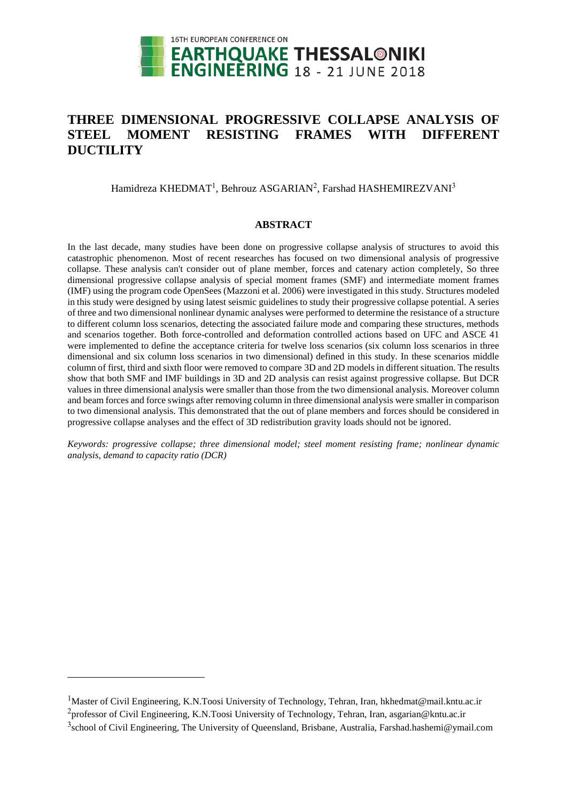

# **THREE DIMENSIONAL PROGRESSIVE COLLAPSE ANALYSIS OF STEEL MOMENT RESISTING FRAMES WITH DIFFERENT DUCTILITY**

Hamidreza KHEDMAT<sup>1</sup>, Behrouz ASGARIAN<sup>2</sup>, Farshad HASHEMIREZVANI<sup>3</sup>

## **ABSTRACT**

In the last decade, many studies have been done on progressive collapse analysis of structures to avoid this catastrophic phenomenon. Most of recent researches has focused on two dimensional analysis of progressive collapse. These analysis can't consider out of plane member, forces and catenary action completely, So three dimensional progressive collapse analysis of special moment frames (SMF) and intermediate moment frames (IMF) using the program code OpenSees (Mazzoni et al. 2006) were investigated in this study. Structures modeled in this study were designed by using latest seismic guidelines to study their progressive collapse potential. A series of three and two dimensional nonlinear dynamic analyses were performed to determine the resistance of a structure to different column loss scenarios, detecting the associated failure mode and comparing these structures, methods and scenarios together. Both force-controlled and deformation controlled actions based on UFC and ASCE 41 were implemented to define the acceptance criteria for twelve loss scenarios (six column loss scenarios in three dimensional and six column loss scenarios in two dimensional) defined in this study. In these scenarios middle column of first, third and sixth floor were removed to compare 3D and 2D models in different situation. The results show that both SMF and IMF buildings in 3D and 2D analysis can resist against progressive collapse. But DCR values in three dimensional analysis were smaller than those from the two dimensional analysis. Moreover column and beam forces and force swings after removing column in three dimensional analysis were smaller in comparison to two dimensional analysis. This demonstrated that the out of plane members and forces should be considered in progressive collapse analyses and the effect of 3D redistribution gravity loads should not be ignored.

*Keywords: progressive collapse; three dimensional model; steel moment resisting frame; nonlinear dynamic analysis, demand to capacity ratio (DCR)*

l

<sup>&</sup>lt;sup>1</sup>Master of Civil Engineering, K.N.Toosi University of Technology, Tehran, Iran, hkhedmat@mail.kntu.ac.ir <sup>2</sup>professor of Civil Engineering, K.N.Toosi University of Technology, Tehran, Iran, asgarian@kntu.ac.ir

<sup>&</sup>lt;sup>3</sup>school of Civil Engineering, The University of Queensland, Brisbane, Australia, Farshad.hashemi@ymail.com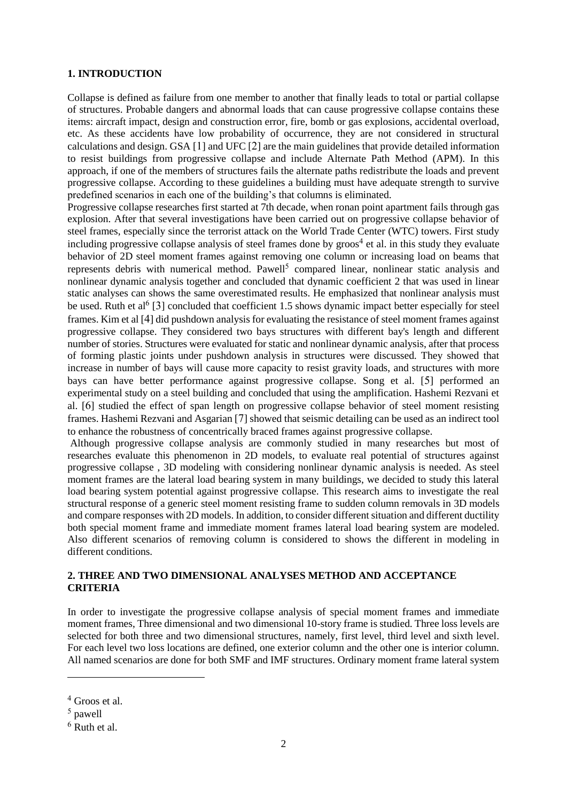# **1. INTRODUCTION**

Collapse is defined as failure from one member to another that finally leads to total or partial collapse of structures. Probable dangers and abnormal loads that can cause progressive collapse contains these items: aircraft impact, design and construction error, fire, bomb or gas explosions, accidental overload, etc. As these accidents have low probability of occurrence, they are not considered in structural calculations and design. GSA [1] and UFC [2] are the main guidelines that provide detailed information to resist buildings from progressive collapse and include Alternate Path Method (APM). In this approach, if one of the members of structures fails the alternate paths redistribute the loads and prevent progressive collapse. According to these guidelines a building must have adequate strength to survive predefined scenarios in each one of the building's that columns is eliminated.

Progressive collapse researches first started at 7th decade, when ronan point apartment fails through gas explosion. After that several investigations have been carried out on progressive collapse behavior of steel frames, especially since the terrorist attack on the World Trade Center (WTC) towers. First study including progressive collapse analysis of steel frames done by groos<sup>4</sup> et al. in this study they evaluate behavior of 2D steel moment frames against removing one column or increasing load on beams that represents debris with numerical method. Pawell<sup>5</sup> compared linear, nonlinear static analysis and nonlinear dynamic analysis together and concluded that dynamic coefficient 2 that was used in linear static analyses can shows the same overestimated results. He emphasized that nonlinear analysis must be used. Ruth et al<sup>6</sup> [3] concluded that coefficient 1.5 shows dynamic impact better especially for steel frames. Kim et al [4] did pushdown analysis for evaluating the resistance of steel moment frames against progressive collapse. They considered two bays structures with different bay's length and different number of stories. Structures were evaluated for static and nonlinear dynamic analysis, after that process of forming plastic joints under pushdown analysis in structures were discussed. They showed that increase in number of bays will cause more capacity to resist gravity loads, and structures with more bays can have better performance against progressive collapse. Song et al. [5] performed an experimental study on a steel building and concluded that using the amplification. Hashemi Rezvani et al. [6] studied the effect of span length on progressive collapse behavior of steel moment resisting frames. Hashemi Rezvani and Asgarian [7] showed that seismic detailing can be used as an indirect tool to enhance the robustness of concentrically braced frames against progressive collapse.

Although progressive collapse analysis are commonly studied in many researches but most of researches evaluate this phenomenon in 2D models, to evaluate real potential of structures against progressive collapse , 3D modeling with considering nonlinear dynamic analysis is needed. As steel moment frames are the lateral load bearing system in many buildings, we decided to study this lateral load bearing system potential against progressive collapse. This research aims to investigate the real structural response of a generic steel moment resisting frame to sudden column removals in 3D models and compare responses with 2D models. In addition, to consider different situation and different ductility both special moment frame and immediate moment frames lateral load bearing system are modeled. Also different scenarios of removing column is considered to shows the different in modeling in different conditions.

# **2. THREE AND TWO DIMENSIONAL ANALYSES METHOD AND ACCEPTANCE CRITERIA**

In order to investigate the progressive collapse analysis of special moment frames and immediate moment frames, Three dimensional and two dimensional 10-story frame is studied. Three loss levels are selected for both three and two dimensional structures, namely, first level, third level and sixth level. For each level two loss locations are defined, one exterior column and the other one is interior column. All named scenarios are done for both SMF and IMF structures. Ordinary moment frame lateral system

l

<sup>4</sup> Groos et al.

<sup>5</sup> pawell

<sup>6</sup> Ruth et al.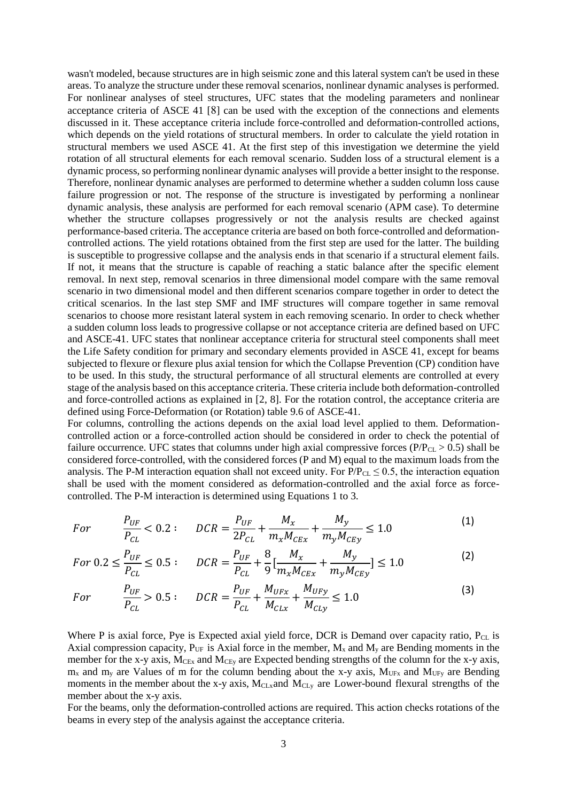wasn't modeled, because structures are in high seismic zone and this lateral system can't be used in these areas. To analyze the structure under these removal scenarios, nonlinear dynamic analyses is performed. For nonlinear analyses of steel structures, UFC states that the modeling parameters and nonlinear acceptance criteria of ASCE 41 [8] can be used with the exception of the connections and elements discussed in it. These acceptance criteria include force-controlled and deformation-controlled actions, which depends on the yield rotations of structural members. In order to calculate the yield rotation in structural members we used ASCE 41. At the first step of this investigation we determine the yield rotation of all structural elements for each removal scenario. Sudden loss of a structural element is a dynamic process, so performing nonlinear dynamic analyses will provide a better insight to the response. Therefore, nonlinear dynamic analyses are performed to determine whether a sudden column loss cause failure progression or not. The response of the structure is investigated by performing a nonlinear dynamic analysis, these analysis are performed for each removal scenario (APM case). To determine whether the structure collapses progressively or not the analysis results are checked against performance-based criteria. The acceptance criteria are based on both force-controlled and deformationcontrolled actions. The yield rotations obtained from the first step are used for the latter. The building is susceptible to progressive collapse and the analysis ends in that scenario if a structural element fails. If not, it means that the structure is capable of reaching a static balance after the specific element removal. In next step, removal scenarios in three dimensional model compare with the same removal scenario in two dimensional model and then different scenarios compare together in order to detect the critical scenarios. In the last step SMF and IMF structures will compare together in same removal scenarios to choose more resistant lateral system in each removing scenario. In order to check whether a sudden column loss leads to progressive collapse or not acceptance criteria are defined based on UFC and ASCE-41. UFC states that nonlinear acceptance criteria for structural steel components shall meet the Life Safety condition for primary and secondary elements provided in ASCE 41, except for beams subjected to flexure or flexure plus axial tension for which the Collapse Prevention (CP) condition have to be used. In this study, the structural performance of all structural elements are controlled at every stage of the analysis based on this acceptance criteria. These criteria include both deformation-controlled and force-controlled actions as explained in [2, 8]. For the rotation control, the acceptance criteria are defined using Force-Deformation (or Rotation) table 9.6 of ASCE-41.

For columns, controlling the actions depends on the axial load level applied to them. Deformationcontrolled action or a force-controlled action should be considered in order to check the potential of failure occurrence. UFC states that columns under high axial compressive forces ( $P/P_{CL} > 0.5$ ) shall be considered force-controlled, with the considered forces (P and M) equal to the maximum loads from the analysis. The P-M interaction equation shall not exceed unity. For  $P/P_{CL} \le 0.5$ , the interaction equation shall be used with the moment considered as deformation-controlled and the axial force as forcecontrolled. The P-M interaction is determined using Equations 1 to 3.

$$
For \t P_{UE} < 0.2: \t DCR = \frac{P_{UF}}{2P_{CL}} + \frac{M_x}{m_x M_{CEx}} + \frac{M_y}{m_y M_{CEy}} \le 1.0
$$
\t(1)

$$
For \ 0.2 \le \frac{P_{UF}}{P_{CL}} \le 0.5: \quad DCR = \frac{P_{UF}}{P_{CL}} + \frac{8}{9} \left[ \frac{M_x}{m_x M_{CEx}} + \frac{M_y}{m_y M_{CEy}} \right] \le 1.0 \tag{2}
$$

$$
For \t P_{UF} > 0.5: \t DCR = \frac{P_{UF}}{P_{CL}} + \frac{M_{UFx}}{M_{CLx}} + \frac{M_{UFy}}{M_{CLy}} \le 1.0 \t (3)
$$

Where P is axial force, Pye is Expected axial yield force, DCR is Demand over capacity ratio,  $P_{CL}$  is Axial compression capacity,  $P_{UF}$  is Axial force in the member,  $M_x$  and  $M_y$  are Bending moments in the member for the x-y axis, M<sub>CEx</sub> and M<sub>CEy</sub> are Expected bending strengths of the column for the x-y axis,  $m<sub>x</sub>$  and  $m<sub>y</sub>$  are Values of m for the column bending about the x-y axis, M<sub>UFx</sub> and M<sub>UFy</sub> are Bending moments in the member about the x-y axis,  $M<sub>CLx</sub>$  and  $M<sub>CLy</sub>$  are Lower-bound flexural strengths of the member about the x-y axis.

For the beams, only the deformation-controlled actions are required. This action checks rotations of the beams in every step of the analysis against the acceptance criteria.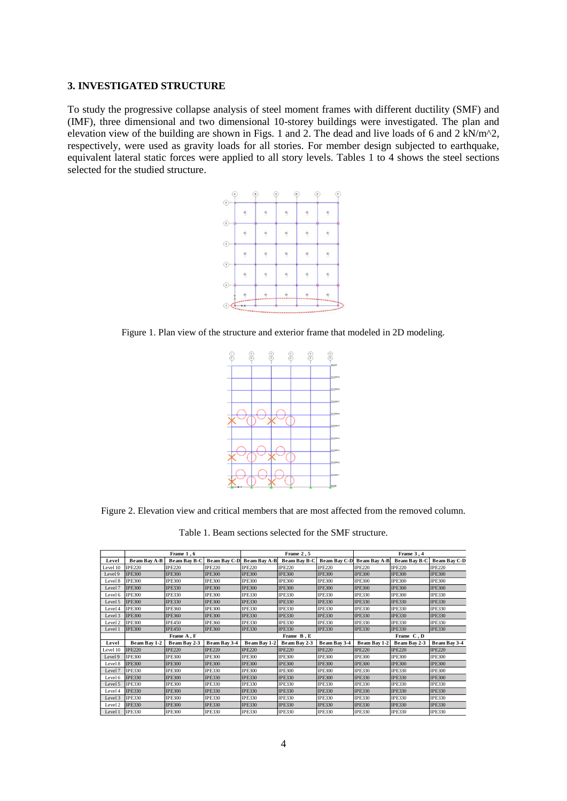#### **3. INVESTIGATED STRUCTURE**

To study the progressive collapse analysis of steel moment frames with different ductility (SMF) and (IMF), three dimensional and two dimensional 10-storey buildings were investigated. The plan and elevation view of the building are shown in Figs. 1 and 2. The dead and live loads of 6 and 2 kN/m^2, respectively, were used as gravity loads for all stories. For member design subjected to earthquake, equivalent lateral static forces were applied to all story levels. Tables 1 to 4 shows the steel sections selected for the studied structure.



Figure 1. Plan view of the structure and exterior frame that modeled in 2D modeling.



Figure 2. Elevation view and critical members that are most affected from the removed column.

Table 1. Beam sections selected for the SMF structure.

|          |               | Frame 1,6           |               |                           | Frame 2,5     |               | Frame 3, 4          |               |                     |  |
|----------|---------------|---------------------|---------------|---------------------------|---------------|---------------|---------------------|---------------|---------------------|--|
| Level    | Beam Bay A-B  | <b>Beam Bay B-C</b> |               | Beam Bay C-D Beam Bay A-B | Beam Bay B-C  | Beam Bay C-D  | <b>Beam Bay A-B</b> | Beam Bay B-C  | <b>Beam Bay C-D</b> |  |
| Level 10 | <b>IPE220</b> | <b>IPE220</b>       | <b>IPE220</b> | <b>IPE220</b>             | <b>IPE220</b> | <b>IPE220</b> | <b>IPE220</b>       | <b>IPE220</b> | <b>IPE220</b>       |  |
| Level 9  | <b>IPE300</b> | <b>IPE300</b>       | <b>IPE300</b> | <b>IPE300</b>             | <b>IPE300</b> | <b>IPE300</b> | <b>IPE300</b>       | <b>IPE300</b> | <b>IPE300</b>       |  |
| Level 8  | <b>IPE300</b> | <b>IPE300</b>       | <b>IPE300</b> | <b>IPE300</b>             | <b>IPE300</b> | <b>IPE300</b> | <b>IPE300</b>       | <b>IPE300</b> | <b>IPE300</b>       |  |
| Level 7  | <b>IPE300</b> | <b>IPE330</b>       | <b>IPE300</b> | <b>IPE300</b>             | <b>IPE300</b> | <b>IPE300</b> | <b>IPE300</b>       | <b>IPE300</b> | <b>IPE300</b>       |  |
| Level 6  | <b>IPE300</b> | <b>IPE330</b>       | <b>IPE300</b> | <b>IPE330</b>             | <b>IPE330</b> | <b>IPE330</b> | <b>IPE330</b>       | <b>IPE300</b> | <b>IPE330</b>       |  |
| Level 5  | <b>IPE300</b> | <b>IPE330</b>       | <b>IPE300</b> | <b>IPE330</b>             | <b>IPE330</b> | <b>IPE330</b> | <b>IPE330</b>       | <b>IPE330</b> | <b>IPE330</b>       |  |
| Level 4  | <b>IPE300</b> | <b>IPE360</b>       | <b>IPE300</b> | <b>IPE330</b>             | <b>IPE330</b> | <b>IPE330</b> | <b>IPE330</b>       | <b>IPE330</b> | <b>IPE330</b>       |  |
| Level 3  | <b>IPE300</b> | <b>IPE360</b>       | <b>IPE300</b> | <b>IPE330</b>             | <b>IPE330</b> | <b>IPE330</b> | <b>IPE330</b>       | <b>IPE330</b> | <b>IPE330</b>       |  |
| Level 2  | <b>IPE300</b> | <b>IPE450</b>       | <b>IPE360</b> | <b>IPE330</b>             | <b>IPE330</b> | <b>IPE330</b> | <b>IPE330</b>       | <b>IPE330</b> | <b>IPE330</b>       |  |
| Level 1  | <b>IPE300</b> | <b>IPE450</b>       | <b>IPE360</b> | <b>IPE330</b>             | <b>IPE330</b> | <b>IPE330</b> | <b>IPE330</b>       | <b>IPE330</b> | <b>IPE330</b>       |  |
|          |               | Frame A, F          |               |                           | Frame B, E    |               | Frame C, D          |               |                     |  |
| Level    | Beam Bay 1-2  | Beam Bay 2-3        | Beam Bay 3-4  | Beam Bay 1-2              | Beam Bay 2-3  | Beam Bay 3-4  | Beam Bay 1-2        | Beam Bay 2-3  | Beam Bay 3-4        |  |
| Level 10 | <b>IPE220</b> | <b>IPE220</b>       | <b>IPE220</b> | <b>IPE220</b>             | <b>IPE220</b> | <b>IPE220</b> | <b>IPE220</b>       | <b>IPE220</b> | <b>IPE220</b>       |  |
| Level 9  | <b>IPE300</b> | <b>IPE300</b>       | <b>IPE300</b> | <b>IPE300</b>             | <b>IPE300</b> | <b>IPE300</b> | <b>IPE300</b>       | <b>IPE300</b> | <b>IPE300</b>       |  |
| Level 8  | <b>IPE300</b> | <b>IPE300</b>       | <b>IPE300</b> | <b>IPE300</b>             | <b>IPE300</b> | <b>IPE300</b> | <b>IPE300</b>       | <b>IPE300</b> | <b>IPE300</b>       |  |
| Level 7  | <b>IPE330</b> | <b>IPE300</b>       | <b>IPE330</b> | <b>IPE300</b>             | <b>IPE300</b> | <b>IPE300</b> | <b>IPE330</b>       | <b>IPE330</b> | <b>IPE300</b>       |  |
| Level 6  | <b>IPE330</b> | <b>IPE300</b>       | <b>IPE330</b> | <b>IPE330</b>             | <b>IPE330</b> | <b>IPE300</b> | <b>IPE330</b>       | <b>IPE330</b> | <b>IPE300</b>       |  |
| Level 5  | <b>IPE330</b> | <b>IPE300</b>       | <b>IPE330</b> | <b>IPE330</b>             | <b>IPE330</b> | <b>IPE330</b> | <b>IPE330</b>       | <b>IPE330</b> | <b>IPE330</b>       |  |
| Level 4  | <b>IPE330</b> | <b>IPE300</b>       | <b>IPE330</b> | <b>IPE330</b>             | <b>IPE330</b> | <b>IPE330</b> | <b>IPE330</b>       | <b>IPE330</b> | <b>IPE330</b>       |  |
| Level 3  | <b>IPE330</b> | <b>IPE300</b>       | <b>IPE330</b> | <b>IPE330</b>             | <b>IPE330</b> | <b>IPE330</b> | <b>IPE330</b>       | <b>IPE330</b> | <b>IPE330</b>       |  |
| Level 2  | <b>IPE330</b> | <b>IPE300</b>       | <b>IPE330</b> | <b>IPE330</b>             | <b>IPE330</b> | <b>IPE330</b> | <b>IPE330</b>       | <b>IPE330</b> | <b>IPE330</b>       |  |
| Level 1  | <b>IPE330</b> | <b>IPE300</b>       | <b>IPE330</b> | <b>IPE330</b>             | <b>IPE330</b> | <b>IPE330</b> | <b>IPE330</b>       | <b>IPE330</b> | <b>IPE330</b>       |  |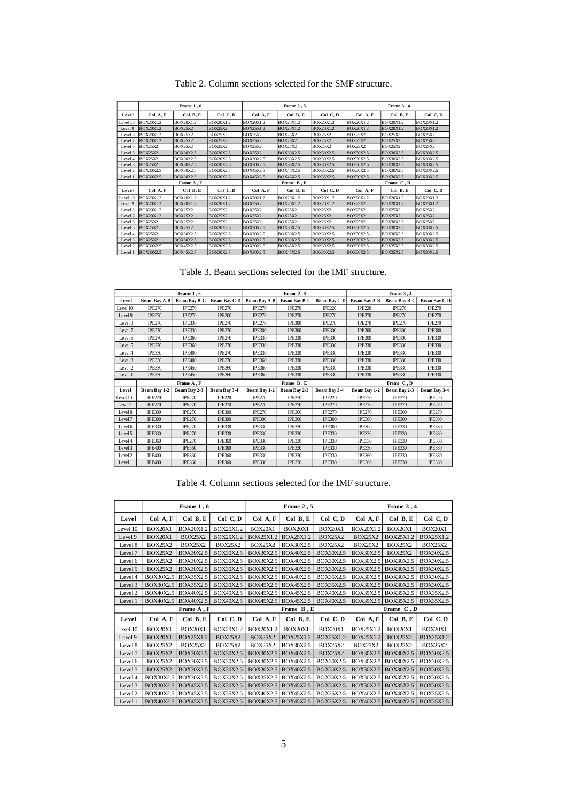|          |                  | Frame 1,6        |                  |                  | Frame 2,5        |                  | Frame 3, 4       |                  |                  |  |
|----------|------------------|------------------|------------------|------------------|------------------|------------------|------------------|------------------|------------------|--|
| Level    | Col A, F         | Col B, E         | Col C, D         | Col A, F         | Col B, E         | Col C, D         | Col A, F         | Col B, E         | Col C, D         |  |
| Level 10 | <b>BOX20X1.2</b> | <b>BOX20X1.2</b> | <b>BOX20X1.2</b> | <b>BOX20X1.2</b> | BOX20X1.2        | <b>BOX20X1.2</b> | BOX20X1.2        | BOX20X1.2        | <b>BOX20X1.2</b> |  |
| Level 9  | <b>BOX20X1.2</b> | <b>BOX25X2</b>   | <b>BOX25X2</b>   | BOX25X1.2        | <b>BOX20X1.2</b> | <b>BOX20X1.2</b> | <b>BOX20X1.2</b> | BOX20X1.2        | <b>BOX20X1.2</b> |  |
| Level 8  | <b>BOX20X1.2</b> | <b>BOX25X2</b>   | <b>BOX25X2</b>   | <b>BOX25X2</b>   | <b>BOX25X2</b>   | <b>BOX25X2</b>   | <b>BOX25X2</b>   | <b>BOX25X2</b>   | <b>BOX25X2</b>   |  |
| Level 7  | <b>BOX20X1.2</b> | <b>BOX25X2</b>   | <b>BOX25X2</b>   | <b>BOX25X2</b>   | <b>BOX25X2</b>   | <b>BOX25X2</b>   | <b>BOX25X2</b>   | <b>BOX25X2</b>   | <b>BOX25X2</b>   |  |
| Level 6  | <b>BOX25X2</b>   | <b>BOX25X2</b>   | <b>BOX25X2</b>   | <b>BOX25X2</b>   | <b>BOX25X2</b>   | <b>BOX25X2</b>   | <b>BOX25X2</b>   | <b>BOX25X2</b>   | <b>BOX25X2</b>   |  |
| Level 5  | <b>BOX25X2</b>   | <b>BOX30X2.5</b> | BOX30X2.5        | <b>BOX25X2</b>   | <b>BOX30X2.5</b> | <b>BOX30X2.5</b> | BOX30X2.5        | BOX30X2.5        | <b>BOX30X2.5</b> |  |
| Level 4  | <b>BOX25X2</b>   | BOX30X2.5        | BOX30X2.5        | BOX30X2.5        | BOX30X2.5        | <b>BOX30X2.5</b> | BOX30X2.5        | BOX30X2.5        | BOX30X2.5        |  |
| Level 3  | <b>BOX25X2</b>   | <b>BOX30X2.5</b> | BOX30X2.5        | <b>BOX30X2.5</b> | <b>BOX30X2.5</b> | <b>BOX30X2.5</b> | BOX30X2.5        | BOX30X2.5        | <b>BOX30X2.5</b> |  |
| Level 2  | <b>BOX30X2.5</b> | <b>BOX30X2.5</b> | BOX30X2.5        | <b>BOX45X2.5</b> | BOX45X2.5        | <b>BOX35X2.5</b> | BOX30X2.5        | BOX30X2.5        | BOX30X2.5        |  |
| Level 1  | <b>BOX30X2.5</b> | <b>BOX30X2.5</b> | BOX30X2.5        | <b>BOX45X2.5</b> | <b>BOX45X2.5</b> | <b>BOX35X2.5</b> | BOX30X2.5        | BOX30X2.5        | <b>BOX30X2.5</b> |  |
|          |                  | Frame A, F       |                  |                  | Frame B, E       |                  | Frame C, D       |                  |                  |  |
| Level    | Col A, F         | Col B, E         | Col C, D         | Col A, F         | Col B, E         | Col C, D         | Col A, F         | Col B, E         | Col C, D         |  |
| Level 10 | <b>BOX20X1.2</b> | <b>BOX20X1.2</b> | BOX20X1.2        | BOX20X1.2        | BOX20X1.2        | BOX20X1.2        | <b>BOX20X1.2</b> | BOX20X1.2        | BOX20X1.2        |  |
| Level 9  | <b>BOX20X1.2</b> | <b>BOX20X1.2</b> | <b>BOX20X1.2</b> | <b>BOX25X2</b>   | <b>BOX20X1.2</b> | <b>BOX20X1.2</b> | <b>BOX25X2</b>   | <b>BOX20X1.2</b> | <b>BOX20X1.2</b> |  |
| Level 8  | <b>BOX20X1.2</b> | <b>BOX25X2</b>   | <b>BOX25X2</b>   | <b>BOX25X2</b>   | <b>BOX25X2</b>   | <b>BOX25X2</b>   | <b>BOX25X2</b>   | <b>BOX25X2</b>   | <b>BOX25X2</b>   |  |
| Level 7  | <b>BOX20X1.2</b> | <b>BOX25X2</b>   | <b>BOX25X2</b>   | <b>BOX25X2</b>   | <b>BOX25X2</b>   | <b>BOX25X2</b>   | <b>BOX25X2</b>   | <b>BOX25X2</b>   | <b>BOX25X2</b>   |  |
| Level 6  | <b>BOX25X2</b>   | <b>BOX25X2</b>   | <b>BOX25X2</b>   | <b>BOX25X2</b>   | <b>BOX25X2</b>   | <b>BOX25X2</b>   | <b>BOX25X2</b>   | BOX30X2.5        | <b>BOX25X2</b>   |  |
| Level 5  | <b>BOX25X2</b>   | <b>BOX25X2</b>   | BOX30X2.5        | BOX30X2.5        | <b>BOX30X2.5</b> | <b>BOX30X2.5</b> | BOX30X2.5        | BOX30X2.5        | <b>BOX30X2.5</b> |  |
| Level 4  | <b>BOX25X2</b>   | <b>BOX30X2.5</b> | BOX30X2.5        | <b>BOX30X2.5</b> | <b>BOX30X2.5</b> | BOX30X2.5        | BOX30X2.5        | BOX30X2.5        | <b>BOX30X2.5</b> |  |
| Level 3  | <b>BOX25X2</b>   | <b>BOX30X2.5</b> | BOX30X2.5        | <b>BOX30X2.5</b> | <b>BOX30X2.5</b> | <b>BOX30X2.5</b> | BOX30X2.5        | BOX30X2.5        | <b>BOX30X2.5</b> |  |
| Level 2  | <b>BOX30X2.5</b> | <b>BOX45X2.5</b> | BOX30X2.5        | <b>BOX30X2.5</b> | BOX45X2.5        | BOX30X2.5        | BOX30X2.5        | BOX35X2.5        | BOX30X2.5        |  |
| Level 1  | <b>BOX30X2.5</b> | <b>BOX45X2.5</b> | BOX30X2.5        | <b>BOX30X2.5</b> | <b>BOX45X2.5</b> | <b>BOX30X2.5</b> | BOX30X2.5        | BOX35X2.5        | <b>BOX30X2.5</b> |  |

Table 2. Column sections selected for the SMF structure.

Table 3. Beam sections selected for the IMF structure.

|          |                     | Frame 1, 6          |                     |                     | Frame 2,5     |                     | Frame 3, 4    |                     |                     |  |
|----------|---------------------|---------------------|---------------------|---------------------|---------------|---------------------|---------------|---------------------|---------------------|--|
| Level    | <b>Beam Bay A-B</b> | <b>Beam Bay B-C</b> | <b>Beam Bay C-D</b> | <b>Beam Bay A-B</b> | Beam Bay B-C  | <b>Beam Bay C-D</b> | Beam Bay A-B  | <b>Beam Bay B-C</b> | <b>Beam Bay C-D</b> |  |
| Level 10 | <b>IPE270</b>       | <b>IPE270</b>       | <b>IPE270</b>       | <b>IPE270</b>       | <b>IPE270</b> | <b>IPE220</b>       | <b>IPE220</b> | <b>IPE270</b>       | <b>IPE270</b>       |  |
| Level 9  | <b>IPE270</b>       | <b>IPE270</b>       | <b>IPE200</b>       | <b>IPE270</b>       | <b>IPE270</b> | <b>IPE270</b>       | <b>IPE270</b> | <b>IPE270</b>       | <b>IPE270</b>       |  |
| Level 8  | <b>IPE270</b>       | <b>IPE330</b>       | <b>IPE270</b>       | <b>IPE270</b>       | <b>IPE300</b> | <b>IPE270</b>       | <b>IPE270</b> | <b>IPE270</b>       | <b>IPE270</b>       |  |
| Level 7  | <b>IPE270</b>       | <b>IPE330</b>       | <b>IPE270</b>       | <b>IPE300</b>       | <b>IPE300</b> | <b>IPE300</b>       | <b>IPE300</b> | <b>IPE300</b>       | <b>IPE300</b>       |  |
| Level 6  | <b>IPE270</b>       | <b>IPE360</b>       | <b>IPE270</b>       | <b>IPE330</b>       | <b>IPE330</b> | <b>IPE300</b>       | <b>IPE300</b> | <b>IPE300</b>       | <b>IPE330</b>       |  |
| Level 5  | <b>IPE270</b>       | <b>IPE360</b>       | <b>IPE270</b>       | <b>IPE330</b>       | <b>IPE330</b> | <b>IPE330</b>       | <b>IPE330</b> | <b>IPE330</b>       | <b>IPE330</b>       |  |
| Level 4  | <b>IPE330</b>       | <b>IPE400</b>       | <b>IPE270</b>       | <b>IPE330</b>       | <b>IPE330</b> | <b>IPE330</b>       | <b>IPE330</b> | <b>IPE330</b>       | <b>IPE330</b>       |  |
| Level 3  | <b>IPE330</b>       | <b>IPE400</b>       | <b>IPE270</b>       | <b>IPE360</b>       | <b>IPE330</b> | <b>IPE330</b>       | <b>IPE330</b> | <b>IPE330</b>       | <b>IPE330</b>       |  |
| Level 2  | <b>IPE330</b>       | <b>IPE450</b>       | <b>IPE360</b>       | <b>IPE360</b>       | <b>IPE330</b> | <b>IPE330</b>       | <b>IPE330</b> | <b>IPE330</b>       | <b>IPE330</b>       |  |
| Level 1  | <b>IPE330</b>       | <b>IPE450</b>       | <b>IPE360</b>       | <b>IPE360</b>       | <b>IPE330</b> | <b>IPE330</b>       | <b>IPE330</b> | <b>IPE330</b>       | <b>IPE330</b>       |  |
|          |                     |                     |                     |                     |               |                     |               |                     |                     |  |
|          |                     | Frame A, F          |                     |                     | Frame B.E     |                     |               | Frame C, D          |                     |  |
| Level    | Beam Bay 1-2        | Beam Bay 2-3        | Beam Bay 3-4        | Beam Bay 1-2        | Beam Bay 2-3  | Beam Bay 3-4        | Beam Bay 1-2  | Beam Bay 2-3        | Beam Bay 3-4        |  |
| Level 10 | <b>IPE220</b>       | <b>IPE270</b>       | <b>IPE220</b>       | <b>IPE270</b>       | <b>IPE270</b> | <b>IPE220</b>       | <b>IPE220</b> | <b>IPE270</b>       | <b>IPE220</b>       |  |
| Level 9  | <b>IPE270</b>       | <b>IPE270</b>       | <b>IPE270</b>       | <b>IPE270</b>       | <b>IPE270</b> | <b>IPE270</b>       | <b>IPE270</b> | <b>IPE270</b>       | <b>IPE270</b>       |  |
| Level 8  | <b>IPE300</b>       | <b>IPE270</b>       | <b>IPE300</b>       | <b>IPE270</b>       | <b>IPE300</b> | <b>IPE270</b>       | <b>IPE270</b> | <b>IPE300</b>       | <b>IPE270</b>       |  |
| Level 7  | <b>IPE300</b>       | <b>IPE270</b>       | <b>IPE300</b>       | <b>IPE300</b>       | <b>IPE300</b> | <b>IPE300</b>       | <b>IPE300</b> | <b>IPE300</b>       | <b>IPE300</b>       |  |
| Level 6  | <b>IPE330</b>       | <b>IPE270</b>       | <b>IPE330</b>       | <b>IPE330</b>       | <b>IPE330</b> | <b>IPE300</b>       | <b>IPE300</b> | <b>IPE330</b>       | <b>IPE330</b>       |  |
| Level 5  | <b>IPE330</b>       | <b>IPE270</b>       | <b>IPE330</b>       | <b>IPE330</b>       | <b>IPE330</b> | <b>IPE330</b>       | <b>IPE330</b> | <b>IPE330</b>       | <b>IPE330</b>       |  |
| Level 4  | <b>IPE360</b>       | <b>IPE270</b>       | <b>IPE360</b>       | <b>IPE330</b>       | <b>IPE330</b> | <b>IPE330</b>       | <b>IPE330</b> | <b>IPE330</b>       | <b>IPE330</b>       |  |
| Level 3  | <b>IPE400</b>       | <b>IPE360</b>       | <b>IPE360</b>       | <b>IPE330</b>       | <b>IPE330</b> | <b>IPE330</b>       | <b>IPE330</b> | <b>IPE330</b>       | <b>IPE330</b>       |  |
| Level 2  | <b>IPE400</b>       | <b>IPE360</b>       | <b>IPE360</b>       | <b>IPE330</b>       | <b>IPE330</b> | <b>IPE330</b>       | <b>IPE360</b> | <b>IPE330</b>       | <b>IPE330</b>       |  |

Table 4. Column sections selected for the IMF structure.

|                    |                  | Frame 1,6      |                |                     | Frame 2,5        |                | Frame 3, 4       |                     |                |  |
|--------------------|------------------|----------------|----------------|---------------------|------------------|----------------|------------------|---------------------|----------------|--|
| Level              | Col A, F         | Col B, E       | Col C, D       | Col A, F            | Col B, E         | Col C, D       | Col A, F         | Col B, E            | Col C, D       |  |
| Level 10           | <b>BOX20X1</b>   | BOX20X1.2      | BOX25X1.2      | <b>BOX20X1</b>      | BOX20X1          | BOX20X1        | BOX20X1.2        | <b>BOX20X1</b>      | BOX20X1        |  |
| Level 9            | <b>BOX20X1</b>   | <b>BOX25X2</b> | BOX25X1.2      | BOX25X1.2           | BOX25X1.2        | <b>BOX25X2</b> | <b>BOX25X2</b>   | BOX25X1.2           | BOX25X1.2      |  |
| Level 8            | <b>BOX25X2</b>   | <b>BOX25X2</b> | <b>BOX25X2</b> | <b>BOX25X2</b>      | BOX30X2.5        | <b>BOX25X2</b> | <b>BOX25X2</b>   | <b>BOX25X2</b>      | <b>BOX25X2</b> |  |
| Level 7            | <b>BOX25X2</b>   | BOX30X2.5      | BOX30X2.5      | BOX30X2.5           | BOX40X2.5        | BOX30X2.5      | BOX30X2.5        | <b>BOX25X2</b>      | BOX30X2.5      |  |
| Level 6            | <b>BOX25X2</b>   | BOX30X2.5      | BOX30X2.5      | BOX30X2.5           | BOX40X2.5        | BOX30X2.5      | BOX30X2.5        | BOX30X2.5           | BOX30X2.5      |  |
| Level 5            | <b>BOX25X2</b>   | BOX30X2.5      | BOX30X2.5      | BOX30X2.5           | BOX40X2.5        | BOX30X2.5      | BOX30X2.5        | BOX30X2.5           | BOX30X2.5      |  |
| Level 4            | <b>BOX30X2.5</b> | BOX35X2.5      | BOX30X2.5      | BOX30X2.5           | BOX40X2.5        | BOX35X2.5      | BOX30X2.5        | BOX30X2.5           | BOX30X2.5      |  |
| Level 3            | <b>BOX30X2.5</b> | BOX35X2.5      | BOX30X2.5      | BOX45X2.5           | BOX45X2.5        | BOX35X2.5      | BOX30X2.5        | BOX30X2.5           | BOX30X2.5      |  |
| Level <sub>2</sub> | BOX40X2.5        | BOX40X2.5      | BOX40X2.5      | BOX45X2.5           | BOX45X2.5        | BOX40X2.5      | BOX35X2.5        | BOX35X2.5           | BOX35X2.5      |  |
| Level 1            | BOX40X2.5        | BOX40X2.5      | BOX40X2.5      | BOX45X2.5           | BOX45X2.5        | BOX40X2.5      | BOX35X2.5        | BOX35X2.5           | BOX35X2.5      |  |
|                    |                  | Frame A, F     |                |                     | Frame B, E       |                | Frame C, D       |                     |                |  |
| Level              | Col A, F         | Col B, E       | Col C, D       | Col A, F            | Col B, E         | Col C, D       | Col A, F         | Col B, E            | Col C, D       |  |
| Level 10           | BOX20X1          | <b>BOX20X1</b> | BOX20X1.2      | BOX20X1.2           | BOX20X1          | BOX20X1        | BOX25X1.2        | <b>BOX20X1</b>      | BOX20X1        |  |
| Level 9            | <b>BOX20X1</b>   | BOX25X1.2      | <b>BOX25X2</b> | <b>BOX25X2</b>      | BOX25X1.2        | BOX25X1.2      | BOX25X1.2        | <b>BOX25X2</b>      | BOX25X1.2      |  |
| Level 8            | <b>BOX25X2</b>   | <b>BOX25X2</b> | <b>BOX25X2</b> | <b>BOX25X2</b>      | BOX30X2.5        | <b>BOX25X2</b> | <b>BOX25X2</b>   | <b>BOX25X2</b>      | <b>BOX25X2</b> |  |
| Level 7            | <b>BOX25X2</b>   | BOX30X2.5      | BOX30X2.5      | BOX30X2.5           | BOX40X2.5        | <b>BOX25X2</b> | BOX30X2.5        | BOX30X2.5           | BOX30X2.5      |  |
| Level 6            | <b>BOX25X2</b>   | BOX30X2.5      | BOX30X2.5      | BOX30X2.5           | BOX40X2.5        | BOX30X2.5      | BOX30X2.5        | BOX30X2.5           | BOX30X2.5      |  |
| Level 5            | <b>BOX25X2</b>   | BOX30X2.5      | BOX30X2.5      | <b>BOX30X2.5</b>    | BOX40X2.5        | BOX30X2.5      | BOX30X2.5        | BOX30X2.5           | BOX30X2.5      |  |
| Level 4            | <b>BOX30X2.5</b> | BOX30X2.5      | BOX30X2.5      | <b>BOX35X2.5</b>    | <b>BOX40X2.5</b> | BOX30X2.5      |                  | BOX30X2.5 BOX35X2.5 | BOX30X2.5      |  |
| Level 3            | <b>BOX30X2.5</b> | BOX45X2.5      | BOX30X2.5      | BOX35X2.5           | BOX45X2.5        | BOX30X2.5      | <b>BOX30X2.5</b> | BOX35X2.5           | BOX30X2.5      |  |
| Level 2            | BOX40X2.5        | BOX45X2.5      | BOX35X2.5      | BOX40X2.5           | BOX45X2.5        | BOX35X2.5      | BOX40X2.5        | BOX40X2.5           | BOX35X2.5      |  |
| Level 1            | BOX40X2.5        | BOX45X2.5      | BOX35X2.5      | BOX40X2.5 BOX45X2.5 |                  | BOX35X2.5      |                  | BOX40X2.5 BOX40X2.5 | BOX35X2.5      |  |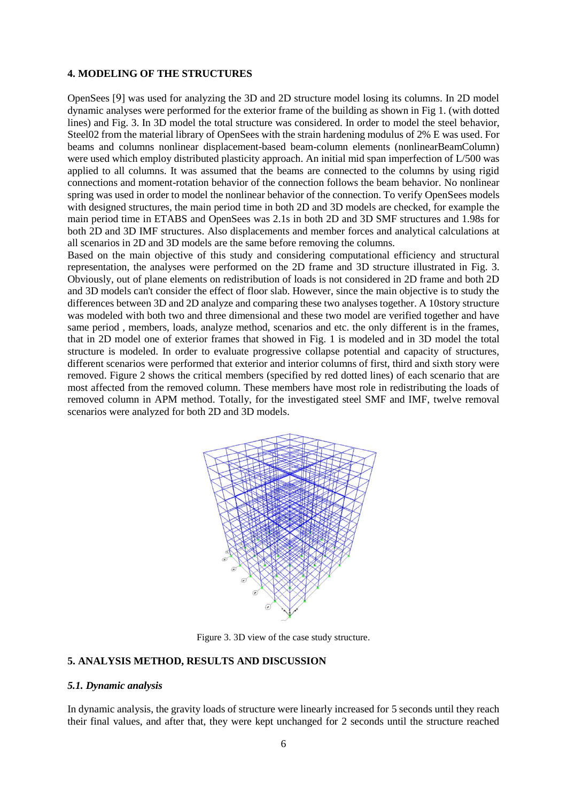## **4. MODELING OF THE STRUCTURES**

OpenSees [9] was used for analyzing the 3D and 2D structure model losing its columns. In 2D model dynamic analyses were performed for the exterior frame of the building as shown in Fig 1. (with dotted lines) and Fig. 3. In 3D model the total structure was considered. In order to model the steel behavior, Steel02 from the material library of OpenSees with the strain hardening modulus of 2% E was used. For beams and columns nonlinear displacement-based beam-column elements (nonlinearBeamColumn) were used which employ distributed plasticity approach. An initial mid span imperfection of L/500 was applied to all columns. It was assumed that the beams are connected to the columns by using rigid connections and moment-rotation behavior of the connection follows the beam behavior. No nonlinear spring was used in order to model the nonlinear behavior of the connection. To verify OpenSees models with designed structures, the main period time in both 2D and 3D models are checked, for example the main period time in ETABS and OpenSees was 2.1s in both 2D and 3D SMF structures and 1.98s for both 2D and 3D IMF structures. Also displacements and member forces and analytical calculations at all scenarios in 2D and 3D models are the same before removing the columns.

Based on the main objective of this study and considering computational efficiency and structural representation, the analyses were performed on the 2D frame and 3D structure illustrated in Fig. 3. Obviously, out of plane elements on redistribution of loads is not considered in 2D frame and both 2D and 3D models can't consider the effect of floor slab. However, since the main objective is to study the differences between 3D and 2D analyze and comparing these two analyses together. A 10story structure was modeled with both two and three dimensional and these two model are verified together and have same period , members, loads, analyze method, scenarios and etc. the only different is in the frames, that in 2D model one of exterior frames that showed in Fig. 1 is modeled and in 3D model the total structure is modeled. In order to evaluate progressive collapse potential and capacity of structures, different scenarios were performed that exterior and interior columns of first, third and sixth story were removed. Figure 2 shows the critical members (specified by red dotted lines) of each scenario that are most affected from the removed column. These members have most role in redistributing the loads of removed column in APM method. Totally, for the investigated steel SMF and IMF, twelve removal scenarios were analyzed for both 2D and 3D models.



Figure 3. 3D view of the case study structure.

# **5. ANALYSIS METHOD, RESULTS AND DISCUSSION**

#### *5.1. Dynamic analysis*

In dynamic analysis, the gravity loads of structure were linearly increased for 5 seconds until they reach their final values, and after that, they were kept unchanged for 2 seconds until the structure reached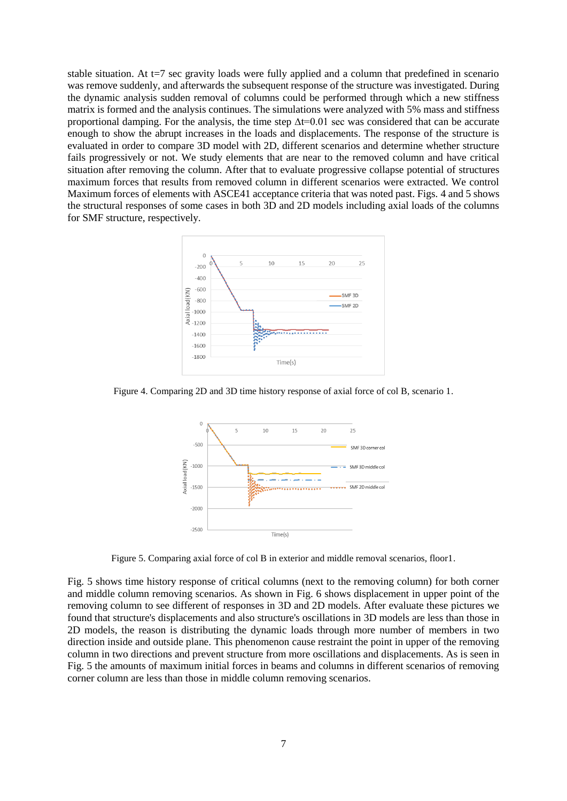stable situation. At t=7 sec gravity loads were fully applied and a column that predefined in scenario was remove suddenly, and afterwards the subsequent response of the structure was investigated. During the dynamic analysis sudden removal of columns could be performed through which a new stiffness matrix is formed and the analysis continues. The simulations were analyzed with 5% mass and stiffness proportional damping. For the analysis, the time step  $\Delta t=0.01$  sec was considered that can be accurate enough to show the abrupt increases in the loads and displacements. The response of the structure is evaluated in order to compare 3D model with 2D, different scenarios and determine whether structure fails progressively or not. We study elements that are near to the removed column and have critical situation after removing the column. After that to evaluate progressive collapse potential of structures maximum forces that results from removed column in different scenarios were extracted. We control Maximum forces of elements with ASCE41 acceptance criteria that was noted past. Figs. 4 and 5 shows the structural responses of some cases in both 3D and 2D models including axial loads of the columns for SMF structure, respectively.



Figure 4. Comparing 2D and 3D time history response of axial force of col B, scenario 1.



Figure 5. Comparing axial force of col B in exterior and middle removal scenarios, floor1.

Fig. 5 shows time history response of critical columns (next to the removing column) for both corner and middle column removing scenarios. As shown in Fig. 6 shows displacement in upper point of the removing column to see different of responses in 3D and 2D models. After evaluate these pictures we found that structure's displacements and also structure's oscillations in 3D models are less than those in 2D models, the reason is distributing the dynamic loads through more number of members in two direction inside and outside plane. This phenomenon cause restraint the point in upper of the removing column in two directions and prevent structure from more oscillations and displacements. As is seen in Fig. 5 the amounts of maximum initial forces in beams and columns in different scenarios of removing corner column are less than those in middle column removing scenarios.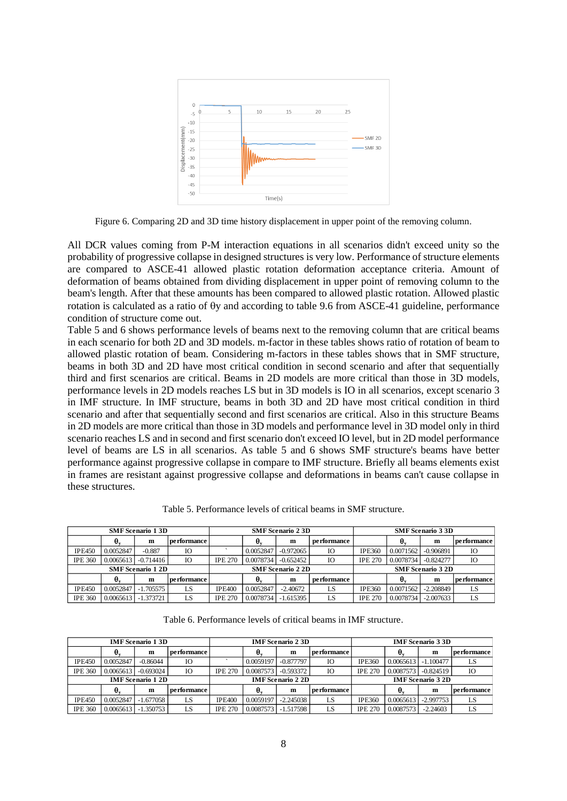

Figure 6. Comparing 2D and 3D time history displacement in upper point of the removing column.

All DCR values coming from P-M interaction equations in all scenarios didn't exceed unity so the probability of progressive collapse in designed structures is very low. Performance of structure elements are compared to ASCE-41 allowed plastic rotation deformation acceptance criteria. Amount of deformation of beams obtained from dividing displacement in upper point of removing column to the beam's length. After that these amounts has been compared to allowed plastic rotation. Allowed plastic rotation is calculated as a ratio of  $\theta$ y and according to table 9.6 from ASCE-41 guideline, performance condition of structure come out.

Table 5 and 6 shows performance levels of beams next to the removing column that are critical beams in each scenario for both 2D and 3D models. m-factor in these tables shows ratio of rotation of beam to allowed plastic rotation of beam. Considering m-factors in these tables shows that in SMF structure, beams in both 3D and 2D have most critical condition in second scenario and after that sequentially third and first scenarios are critical. Beams in 2D models are more critical than those in 3D models, performance levels in 2D models reaches LS but in 3D models is IO in all scenarios, except scenario 3 in IMF structure. In IMF structure, beams in both 3D and 2D have most critical condition in third scenario and after that sequentially second and first scenarios are critical. Also in this structure Beams in 2D models are more critical than those in 3D models and performance level in 3D model only in third scenario reaches LS and in second and first scenario don't exceed IO level, but in 2D model performance level of beams are LS in all scenarios. As table 5 and 6 shows SMF structure's beams have better performance against progressive collapse in compare to IMF structure. Briefly all beams elements exist in frames are resistant against progressive collapse and deformations in beams can't cause collapse in these structures.

| <b>SMF</b> Scenario 13D |           |                          |                    | <b>SMF</b> Scenario 2 3D |                               |             |                    | <b>SMF</b> Scenario 3 3D |           |             |              |
|-------------------------|-----------|--------------------------|--------------------|--------------------------|-------------------------------|-------------|--------------------|--------------------------|-----------|-------------|--------------|
|                         | υ.        | m                        | performance        |                          | $\boldsymbol{\theta}_{\rm v}$ | m           | performance        |                          | υ.        | m           | pe rformance |
| <b>IPE450</b>           | 0.0052847 | $-0.887$                 | IO                 |                          | 0.0052847                     | $-0.972065$ | IО                 | <b>IPE360</b>            | 0.0071562 | $-0.906891$ | IO           |
| <b>IPE 360</b>          | 0.0065613 | $-0.714416$              | IO                 | <b>IPE 270</b>           | 0.0078734                     | $-0.652452$ | IO                 | <b>IPE 270</b>           | 0.0078734 | $-0.824277$ | IO           |
|                         |           | <b>SMF</b> Scenario 1 2D |                    | <b>SMF</b> Scenario 2 2D |                               |             |                    | <b>SMF</b> Scenario 3 2D |           |             |              |
|                         |           | m                        | <b>performance</b> |                          | θ.                            | m           | <b>performance</b> |                          |           | m           | pe rformance |
| <b>IPE450</b>           | 0.0052847 | $-1.705575$              | LS                 | <b>IPE400</b>            | 0.0052847                     | $-2.40672$  | LS                 | <b>IPE360</b>            | 0.0071562 | $-2.208849$ | LS           |
| <b>IPE 360</b>          | 0.0065613 | $-1.373721$              | LS                 | <b>IPE 270</b>           | 0.0078734                     | $-1.615395$ | LS                 | <b>IPE 270</b>           | 0.0078734 | $-2.007633$ | LS           |

Table 5. Performance levels of critical beams in SMF structure.

Table 6. Performance levels of critical beams in IMF structure.

| <b>IMF</b> Scenario 13D  |                       |             |                    | <b>IMF</b> Scenario 2 3D |           |             |                    | <b>IMF</b> Scenario 3 3D |           |             |                    |
|--------------------------|-----------------------|-------------|--------------------|--------------------------|-----------|-------------|--------------------|--------------------------|-----------|-------------|--------------------|
|                          | θ.                    | m           | <b>performance</b> |                          | θ.        | m           | <b>performance</b> |                          | θ.        | m           | <b>performance</b> |
| <b>IPE450</b>            | 0.0052847             | $-0.86044$  | IО                 |                          | 0.0059197 | $-0.877797$ | IО                 | <b>IPE360</b>            | 0.0065613 | $-1.100477$ |                    |
| <b>IPE 360</b>           | 0.0065613             | $-0.693024$ | IO                 | <b>IPE 270</b>           | 0.0087573 | $-0.593372$ | IO                 | <b>IPE 270</b>           | 0.0087573 | $-0.824519$ | IО                 |
| <b>IMF</b> Scenario 1 2D |                       |             |                    | <b>IMF</b> Scenario 2 2D |           |             |                    | <b>IMF</b> Scenario 3 2D |           |             |                    |
|                          | θ                     | m           | performance !      |                          | θ.        | m           | <b>performance</b> |                          | θ.        | m           | <b>performance</b> |
| <b>IPE450</b>            | 0.0052847             | $-1.677058$ | LS                 | <b>IPE400</b>            | 0.0059197 | $-2.245038$ | LS                 | <b>IPE360</b>            | 0.0065613 | $-2.997753$ |                    |
| <b>IPE 360</b>           | $0.0065613$ -1.350753 |             | LS                 | <b>IPE 270</b>           | 0.0087573 | $-1.517598$ | LS                 | <b>IPE 270</b>           | 0.0087573 | $-2.24603$  |                    |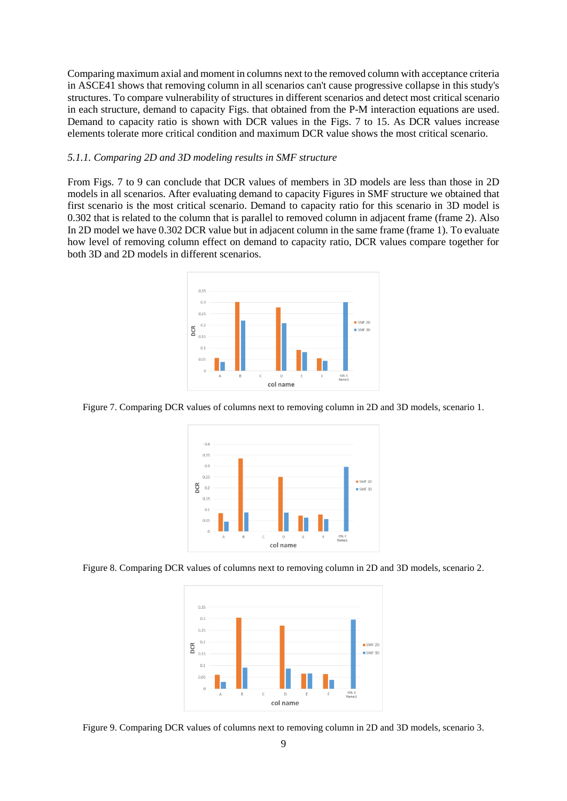Comparing maximum axial and moment in columns next to the removed column with acceptance criteria in ASCE41 shows that removing column in all scenarios can't cause progressive collapse in this study's structures. To compare vulnerability of structures in different scenarios and detect most critical scenario in each structure, demand to capacity Figs. that obtained from the P-M interaction equations are used. Demand to capacity ratio is shown with DCR values in the Figs. 7 to 15. As DCR values increase elements tolerate more critical condition and maximum DCR value shows the most critical scenario.

#### *5.1.1. Comparing 2D and 3D modeling results in SMF structure*

From Figs. 7 to 9 can conclude that DCR values of members in 3D models are less than those in 2D models in all scenarios. After evaluating demand to capacity Figures in SMF structure we obtained that first scenario is the most critical scenario. Demand to capacity ratio for this scenario in 3D model is 0.302 that is related to the column that is parallel to removed column in adjacent frame (frame 2). Also In 2D model we have 0.302 DCR value but in adjacent column in the same frame (frame 1). To evaluate how level of removing column effect on demand to capacity ratio, DCR values compare together for both 3D and 2D models in different scenarios.



Figure 7. Comparing DCR values of columns next to removing column in 2D and 3D models, scenario 1.



Figure 8. Comparing DCR values of columns next to removing column in 2D and 3D models, scenario 2.



Figure 9. Comparing DCR values of columns next to removing column in 2D and 3D models, scenario 3.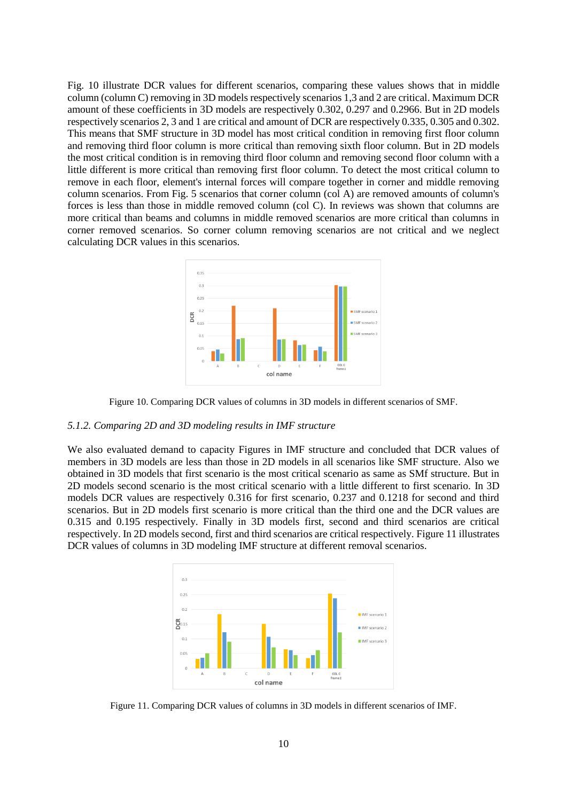Fig. 10 illustrate DCR values for different scenarios, comparing these values shows that in middle column (column C) removing in 3D models respectively scenarios 1,3 and 2 are critical. Maximum DCR amount of these coefficients in 3D models are respectively 0.302, 0.297 and 0.2966. But in 2D models respectively scenarios 2, 3 and 1 are critical and amount of DCR are respectively 0.335, 0.305 and 0.302. This means that SMF structure in 3D model has most critical condition in removing first floor column and removing third floor column is more critical than removing sixth floor column. But in 2D models the most critical condition is in removing third floor column and removing second floor column with a little different is more critical than removing first floor column. To detect the most critical column to remove in each floor, element's internal forces will compare together in corner and middle removing column scenarios. From Fig. 5 scenarios that corner column (col A) are removed amounts of column's forces is less than those in middle removed column (col C). In reviews was shown that columns are more critical than beams and columns in middle removed scenarios are more critical than columns in corner removed scenarios. So corner column removing scenarios are not critical and we neglect calculating DCR values in this scenarios.



Figure 10. Comparing DCR values of columns in 3D models in different scenarios of SMF.

#### *5.1.2. Comparing 2D and 3D modeling results in IMF structure*

We also evaluated demand to capacity Figures in IMF structure and concluded that DCR values of members in 3D models are less than those in 2D models in all scenarios like SMF structure. Also we obtained in 3D models that first scenario is the most critical scenario as same as SMf structure. But in 2D models second scenario is the most critical scenario with a little different to first scenario. In 3D models DCR values are respectively 0.316 for first scenario, 0.237 and 0.1218 for second and third scenarios. But in 2D models first scenario is more critical than the third one and the DCR values are 0.315 and 0.195 respectively. Finally in 3D models first, second and third scenarios are critical respectively. In 2D models second, first and third scenarios are critical respectively. Figure 11 illustrates DCR values of columns in 3D modeling IMF structure at different removal scenarios.



Figure 11. Comparing DCR values of columns in 3D models in different scenarios of IMF.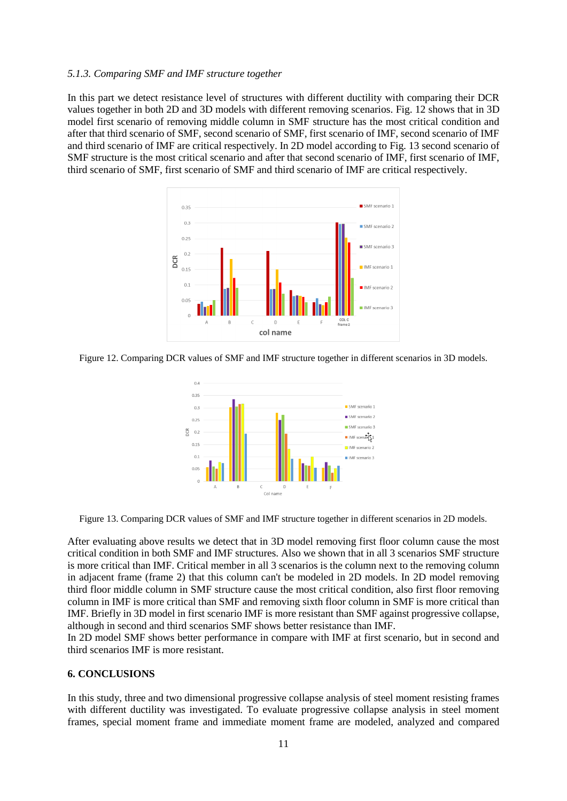## *5.1.3. Comparing SMF and IMF structure together*

In this part we detect resistance level of structures with different ductility with comparing their DCR values together in both 2D and 3D models with different removing scenarios. Fig. 12 shows that in 3D model first scenario of removing middle column in SMF structure has the most critical condition and after that third scenario of SMF, second scenario of SMF, first scenario of IMF, second scenario of IMF and third scenario of IMF are critical respectively. In 2D model according to Fig. 13 second scenario of SMF structure is the most critical scenario and after that second scenario of IMF, first scenario of IMF, third scenario of SMF, first scenario of SMF and third scenario of IMF are critical respectively.



Figure 12. Comparing DCR values of SMF and IMF structure together in different scenarios in 3D models.



Figure 13. Comparing DCR values of SMF and IMF structure together in different scenarios in 2D models.

After evaluating above results we detect that in 3D model removing first floor column cause the most critical condition in both SMF and IMF structures. Also we shown that in all 3 scenarios SMF structure is more critical than IMF. Critical member in all 3 scenarios is the column next to the removing column in adjacent frame (frame 2) that this column can't be modeled in 2D models. In 2D model removing third floor middle column in SMF structure cause the most critical condition, also first floor removing column in IMF is more critical than SMF and removing sixth floor column in SMF is more critical than IMF. Briefly in 3D model in first scenario IMF is more resistant than SMF against progressive collapse, although in second and third scenarios SMF shows better resistance than IMF.

In 2D model SMF shows better performance in compare with IMF at first scenario, but in second and third scenarios IMF is more resistant.

## **6. CONCLUSIONS**

In this study, three and two dimensional progressive collapse analysis of steel moment resisting frames with different ductility was investigated. To evaluate progressive collapse analysis in steel moment frames, special moment frame and immediate moment frame are modeled, analyzed and compared